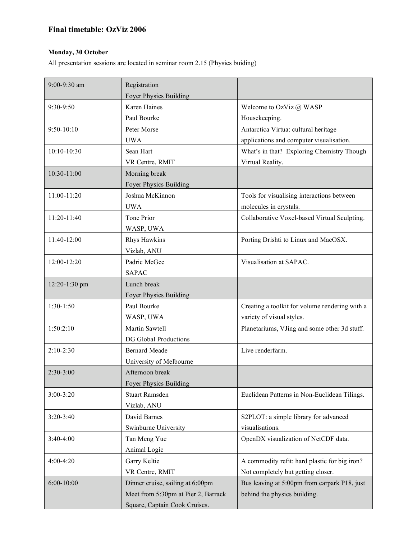## **Final timetable: OzViz 2006**

## **Monday, 30 October**

All presentation sessions are located in seminar room 2.15 (Physics buiding)

| 9:00-9:30 am  | Registration                        |                                                |
|---------------|-------------------------------------|------------------------------------------------|
|               | Foyer Physics Building              |                                                |
| 9:30-9:50     | <b>Karen Haines</b>                 | Welcome to OzViz @ WASP                        |
|               | Paul Bourke                         | Housekeeping.                                  |
| 9:50-10:10    | Peter Morse                         | Antarctica Virtua: cultural heritage           |
|               | <b>UWA</b>                          | applications and computer visualisation.       |
| 10:10-10:30   | Sean Hart                           | What's in that? Exploring Chemistry Though     |
|               | VR Centre, RMIT                     | Virtual Reality.                               |
| 10:30-11:00   | Morning break                       |                                                |
|               | Foyer Physics Building              |                                                |
| 11:00-11:20   | Joshua McKinnon                     | Tools for visualising interactions between     |
|               | <b>UWA</b>                          | molecules in crystals.                         |
| 11:20-11:40   | Tone Prior                          | Collaborative Voxel-based Virtual Sculpting.   |
|               | WASP, UWA                           |                                                |
| 11:40-12:00   | Rhys Hawkins                        | Porting Drishti to Linux and MacOSX.           |
|               | Vizlab, ANU                         |                                                |
| 12:00-12:20   | Padric McGee                        | Visualisation at SAPAC.                        |
|               | <b>SAPAC</b>                        |                                                |
| 12:20-1:30 pm | Lunch break                         |                                                |
|               | Foyer Physics Building              |                                                |
| $1:30-1:50$   | Paul Bourke                         | Creating a toolkit for volume rendering with a |
|               | WASP, UWA                           | variety of visual styles.                      |
| 1:50:2:10     | Martin Sawtell                      | Planetariums, VJing and some other 3d stuff.   |
|               | <b>DG Global Productions</b>        |                                                |
| $2:10-2:30$   | <b>Bernard Meade</b>                | Live renderfarm.                               |
|               | University of Melbourne             |                                                |
| $2:30-3:00$   | Afternoon break                     |                                                |
|               | Foyer Physics Building              |                                                |
| 3:00-3:20     | <b>Stuart Ramsden</b>               | Euclidean Patterns in Non-Euclidean Tilings.   |
|               | Vizlab, ANU                         |                                                |
| $3:20-3:40$   | David Barnes                        | S2PLOT: a simple library for advanced          |
|               | Swinburne University                | visualisations.                                |
| $3:40-4:00$   | Tan Meng Yue                        | OpenDX visualization of NetCDF data.           |
|               | Animal Logic                        |                                                |
| 4:00-4:20     | Garry Keltie                        | A commodity refit: hard plastic for big iron?  |
|               | VR Centre, RMIT                     | Not completely but getting closer.             |
| 6:00-10:00    | Dinner cruise, sailing at 6:00pm    | Bus leaving at 5:00pm from carpark P18, just   |
|               | Meet from 5:30pm at Pier 2, Barrack | behind the physics building.                   |
|               | Square, Captain Cook Cruises.       |                                                |